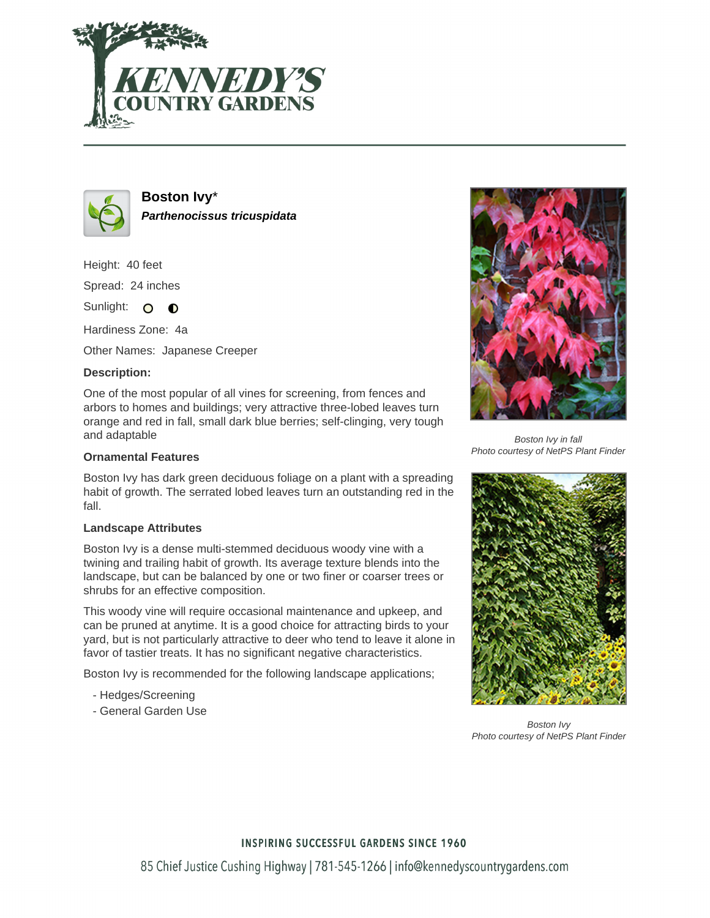



**Boston Ivy**\* **Parthenocissus tricuspidata**

Height: 40 feet Spread: 24 inches

Sunlight: O **O** 

Hardiness Zone: 4a

Other Names: Japanese Creeper

## **Description:**

One of the most popular of all vines for screening, from fences and arbors to homes and buildings; very attractive three-lobed leaves turn orange and red in fall, small dark blue berries; self-clinging, very tough and adaptable

## **Ornamental Features**

Boston Ivy has dark green deciduous foliage on a plant with a spreading habit of growth. The serrated lobed leaves turn an outstanding red in the fall.

#### **Landscape Attributes**

Boston Ivy is a dense multi-stemmed deciduous woody vine with a twining and trailing habit of growth. Its average texture blends into the landscape, but can be balanced by one or two finer or coarser trees or shrubs for an effective composition.

This woody vine will require occasional maintenance and upkeep, and can be pruned at anytime. It is a good choice for attracting birds to your yard, but is not particularly attractive to deer who tend to leave it alone in favor of tastier treats. It has no significant negative characteristics.

Boston Ivy is recommended for the following landscape applications;

- Hedges/Screening
- General Garden Use



Boston Ivy in fall Photo courtesy of NetPS Plant Finder



Boston Ivy Photo courtesy of NetPS Plant Finder

## **INSPIRING SUCCESSFUL GARDENS SINCE 1960**

85 Chief Justice Cushing Highway | 781-545-1266 | info@kennedyscountrygardens.com